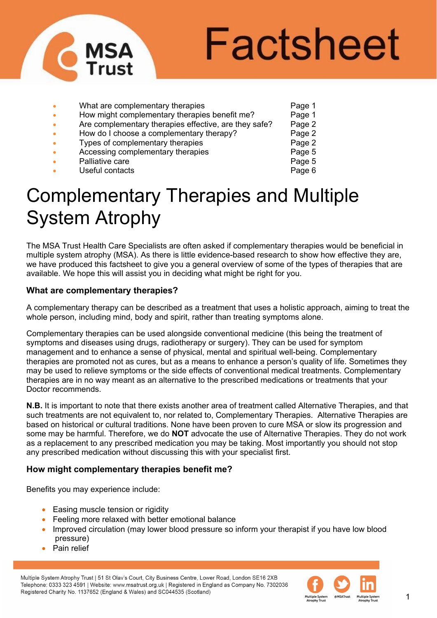

# Factsheet

- What are complementary therapies examples Page 1
- How might complementary therapies benefit me? Page 1
- Are complementary therapies effective, are they safe? Page 2
- How do I choose a complementary therapy? Page 2<br>• Types of complementary therapies Page 2
- Types of complementary therapies
- Accessing complementary therapies example of the Page 5
- **Palliative care Page 5**
- Useful contacts **Page 6**

# Complementary Therapies and Multiple System Atrophy

The MSA Trust Health Care Specialists are often asked if complementary therapies would be beneficial in multiple system atrophy (MSA). As there is little evidence-based research to show how effective they are, we have produced this factsheet to give you a general overview of some of the types of therapies that are available. We hope this will assist you in deciding what might be right for you.

# **What are complementary therapies?**

A complementary therapy can be described as a treatment that uses a holistic approach, aiming to treat the whole person, including mind, body and spirit, rather than treating symptoms alone.

Complementary therapies can be used alongside conventional medicine (this being the treatment of symptoms and diseases using drugs, radiotherapy or surgery). They can be used for symptom management and to enhance a sense of physical, mental and spiritual well-being. Complementary therapies are promoted not as cures, but as a means to enhance a person's quality of life. Sometimes they may be used to relieve symptoms or the side effects of conventional medical treatments. Complementary therapies are in no way meant as an alternative to the prescribed medications or treatments that your Doctor recommends.

**N.B.** It is important to note that there exists another area of treatment called Alternative Therapies, and that such treatments are not equivalent to, nor related to, Complementary Therapies. Alternative Therapies are based on historical or cultural traditions. None have been proven to cure MSA or slow its progression and some may be harmful. Therefore, we do **NOT** advocate the use of Alternative Therapies. They do not work as a replacement to any prescribed medication you may be taking. Most importantly you should not stop any prescribed medication without discussing this with your specialist first.

# **How might complementary therapies benefit me?**

Benefits you may experience include:

- Easing muscle tension or rigidity
- Feeling more relaxed with better emotional balance
- Improved circulation (may lower blood pressure so inform your therapist if you have low blood pressure)
- Pain relief

Multiple System Atrophy Trust | 51 St Olav's Court, City Business Centre, Lower Road, London SE16 2XB Telephone: 0333 323 4591 | Website: www.msatrust.org.uk | Registered in England as Company No. 7302036 Registered Charity No. 1137652 (England & Wales) and SC044535 (Scotland)

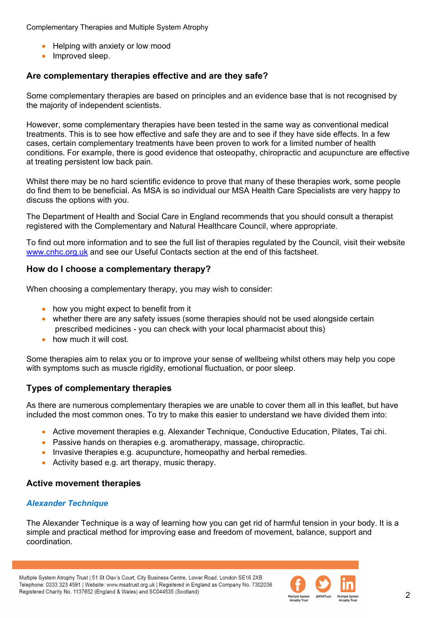Complementary Therapies and Multiple System Atrophy

- Helping with anxiety or low mood
- Improved sleep.

# **Are complementary therapies effective and are they safe?**

Some complementary therapies are based on principles and an evidence base that is not recognised by the majority of independent scientists.

However, some complementary therapies have been tested in the same way as conventional medical treatments. This is to see how effective and safe they are and to see if they have side effects. In a few cases, certain complementary treatments have been proven to work for a limited number of health conditions. For example, there is good evidence that osteopathy, chiropractic and acupuncture are effective at treating persistent low back pain.

Whilst there may be no hard scientific evidence to prove that many of these therapies work, some people do find them to be beneficial. As MSA is so individual our MSA Health Care Specialists are very happy to discuss the options with you.

The Department of Health and Social Care in England recommends that you should consult a therapist registered with the Complementary and Natural Healthcare Council, where appropriate.

To find out more information and to see the full list of therapies regulated by the Council, visit their website [www.cnhc.org.uk](http://www.cnhc.org.uk/) and see our Useful Contacts section at the end of this factsheet.

#### **How do I choose a complementary therapy?**

When choosing a complementary therapy, you may wish to consider:

- how you might expect to benefit from it
- whether there are any safety issues (some therapies should not be used alongside certain prescribed medicines - you can check with your local pharmacist about this)
- how much it will cost.

Some therapies aim to relax you or to improve your sense of wellbeing whilst others may help you cope with symptoms such as muscle rigidity, emotional fluctuation, or poor sleep.

# **Types of complementary therapies**

As there are numerous complementary therapies we are unable to cover them all in this leaflet, but have included the most common ones. To try to make this easier to understand we have divided them into:

- Active movement therapies e.g. Alexander Technique, Conductive Education, Pilates, Tai chi.
- Passive hands on therapies e.g. aromatherapy, massage, chiropractic.
- Invasive therapies e.g. acupuncture, homeopathy and herbal remedies.
- Activity based e.g. art therapy, music therapy.

#### **Active movement therapies**

#### *Alexander Technique*

The Alexander Technique is a way of learning how you can get rid of harmful tension in your body. It is a simple and practical method for improving ease and freedom of movement, balance, support and coordination.

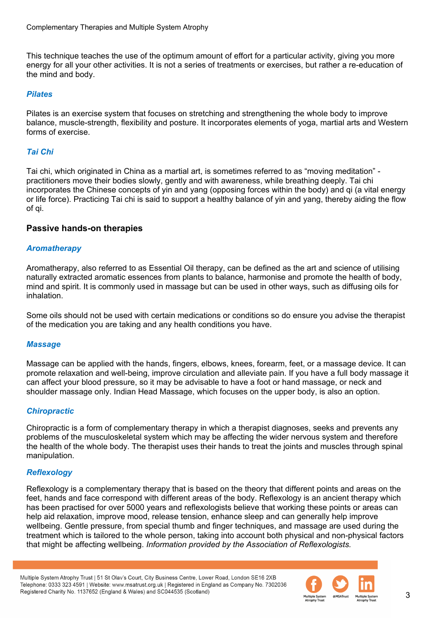This technique teaches the use of the optimum amount of effort for a particular activity, giving you more energy for all your other activities. It is not a series of treatments or exercises, but rather a re-education of the mind and body.

#### *Pilates*

Pilates is an exercise system that focuses on stretching and strengthening the whole body to improve balance, muscle-strength, flexibility and posture. It incorporates elements of yoga, martial arts and Western forms of exercise.

#### *Tai Chi*

Tai chi, which originated in China as a martial art, is sometimes referred to as "moving meditation" practitioners move their bodies slowly, gently and with awareness, while breathing deeply. Tai chi incorporates the Chinese concepts of yin and yang (opposing forces within the body) and qi (a vital energy or life force). Practicing Tai chi is said to support a healthy balance of yin and yang, thereby aiding the flow of qi.

#### **Passive hands-on therapies**

#### *Aromatherapy*

Aromatherapy, also referred to as Essential Oil therapy, can be defined as the art and science of utilising naturally extracted aromatic essences from plants to balance, harmonise and promote the health of body, mind and spirit. It is commonly used in massage but can be used in other ways, such as diffusing oils for inhalation.

Some oils should not be used with certain medications or conditions so do ensure you advise the therapist of the medication you are taking and any health conditions you have.

#### *Massage*

Massage can be applied with the hands, fingers, elbows, knees, forearm, feet, or a massage device. It can promote relaxation and well-being, improve circulation and alleviate pain. If you have a full body massage it can affect your blood pressure, so it may be advisable to have a foot or hand massage, or neck and shoulder massage only. Indian Head Massage, which focuses on the upper body, is also an option.

#### *Chiropractic*

Chiropractic is a form of complementary therapy in which a therapist diagnoses, seeks and prevents any problems of the musculoskeletal system which may be affecting the wider nervous system and therefore the health of the whole body. The therapist uses their hands to treat the joints and muscles through spinal manipulation.

#### *Reflexology*

Reflexology is a complementary therapy that is based on the theory that different points and areas on the feet, hands and face correspond with different areas of the body. Reflexology is an ancient therapy which has been practised for over 5000 years and reflexologists believe that working these points or areas can help aid relaxation, improve mood, release tension, enhance sleep and can generally help improve wellbeing. Gentle pressure, from special thumb and finger techniques, and massage are used during the treatment which is tailored to the whole person, taking into account both physical and non-physical factors that might be affecting wellbeing. *Information provided by the Association of Reflexologists.* 

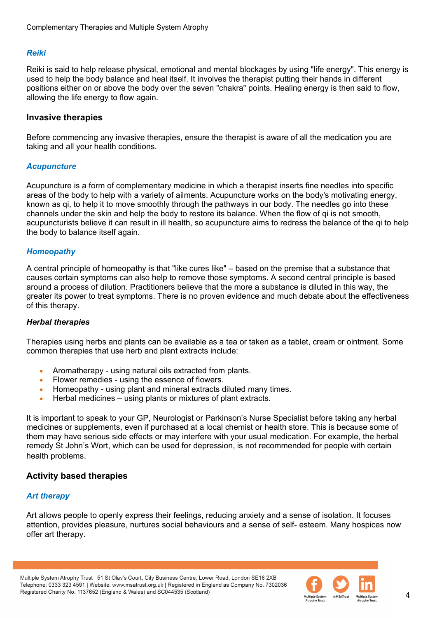#### *Reiki*

Reiki is said to help release physical, emotional and mental blockages by using "life energy". This energy is used to help the body balance and heal itself. It involves the therapist putting their hands in different positions either on or above the body over the seven "chakra" points. Healing energy is then said to flow, allowing the life energy to flow again.

#### **Invasive therapies**

Before commencing any invasive therapies, ensure the therapist is aware of all the medication you are taking and all your health conditions.

#### *Acupuncture*

Acupuncture is a form of complementary medicine in which a therapist inserts fine needles into specific areas of the body to help with a variety of ailments. Acupuncture works on the body's motivating energy, known as qi, to help it to move smoothly through the pathways in our body. The needles go into these channels under the skin and help the body to restore its balance. When the flow of qi is not smooth, acupuncturists believe it can result in ill health, so acupuncture aims to redress the balance of the qi to help the body to balance itself again.

#### *Homeopathy*

A central principle of homeopathy is that "like cures like" – based on the premise that a substance that causes certain symptoms can also help to remove those symptoms. A second central principle is based around a process of dilution. Practitioners believe that the more a substance is diluted in this way, the greater its power to treat symptoms. There is no proven evidence and much debate about the effectiveness of this therapy.

#### *Herbal therapies*

Therapies using herbs and plants can be available as a tea or taken as a tablet, cream or ointment. Some common therapies that use herb and plant extracts include:

- Aromatherapy using natural oils extracted from plants.
- Flower remedies using the essence of flowers.
- Homeopathy using plant and mineral extracts diluted many times.
- Herbal medicines using plants or mixtures of plant extracts.

It is important to speak to your GP, Neurologist or Parkinson's Nurse Specialist before taking any herbal medicines or supplements, even if purchased at a local chemist or health store. This is because some of them may have serious side effects or may interfere with your usual medication. For example, the herbal remedy St John's Wort, which can be used for depression, is not recommended for people with certain health problems.

#### **Activity based therapies**

#### *Art therapy*

Art allows people to openly express their feelings, reducing anxiety and a sense of isolation. It focuses attention, provides pleasure, nurtures social behaviours and a sense of self- esteem. Many hospices now offer art therapy.

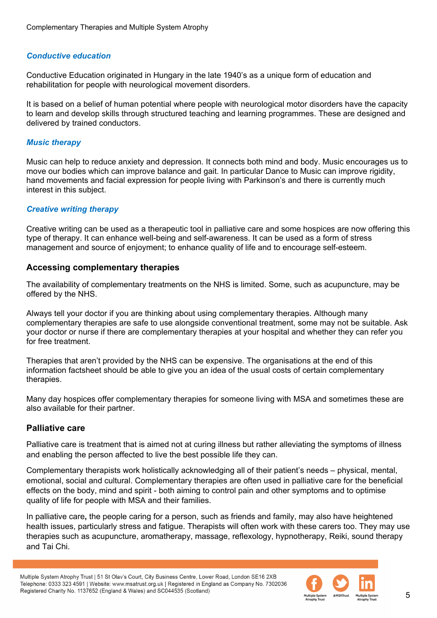#### *Conductive education*

Conductive Education originated in Hungary in the late 1940's as a unique form of education and rehabilitation for people with neurological movement disorders.

It is based on a belief of human potential where people with neurological motor disorders have the capacity to learn and develop skills through structured teaching and learning programmes. These are designed and delivered by trained conductors.

#### *Music therapy*

Music can help to reduce anxiety and depression. It connects both mind and body. Music encourages us to move our bodies which can improve balance and gait. In particular Dance to Music can improve rigidity, hand movements and facial expression for people living with Parkinson's and there is currently much interest in this subject.

#### *Creative writing therapy*

Creative writing can be used as a therapeutic tool in palliative care and some hospices are now offering this type of therapy. It can enhance well-being and self-awareness. It can be used as a form of stress management and source of enjoyment; to enhance quality of life and to encourage self-esteem.

#### **Accessing complementary therapies**

The availability of complementary treatments on the NHS is limited. Some, such as acupuncture, may be offered by the NHS.

Always tell your doctor if you are thinking about using complementary therapies. Although many complementary therapies are safe to use alongside conventional treatment, some may not be suitable. Ask your doctor or nurse if there are complementary therapies at your hospital and whether they can refer you for free treatment.

Therapies that aren't provided by the NHS can be expensive. The organisations at the end of this information factsheet should be able to give you an idea of the usual costs of certain complementary therapies.

Many day hospices offer complementary therapies for someone living with MSA and sometimes these are also available for their partner.

#### **Palliative care**

Palliative care is treatment that is aimed not at curing illness but rather alleviating the symptoms of illness and enabling the person affected to live the best possible life they can.

Complementary therapists work holistically acknowledging all of their patient's needs – physical, mental, emotional, social and cultural. Complementary therapies are often used in palliative care for the beneficial effects on the body, mind and spirit - both aiming to control pain and other symptoms and to optimise quality of life for people with MSA and their families.

In palliative care**,** the people caring for a person, such as friends and family, may also have heightened health issues, particularly stress and fatigue. Therapists will often work with these carers too. They may use therapies such as acupuncture, aromatherapy, massage, reflexology, hypnotherapy, Reiki, sound therapy and Tai Chi.

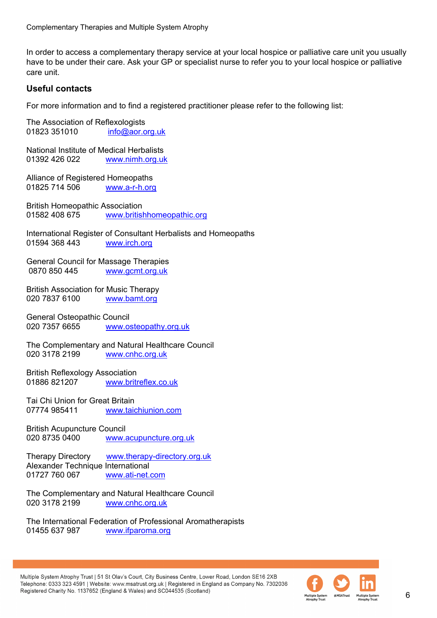In order to access a complementary therapy service at your local hospice or palliative care unit you usually have to be under their care. Ask your GP or specialist nurse to refer you to your local hospice or palliative care unit.

## **Useful contacts**

For more information and to find a registered practitioner please refer to the following list:

The Association of Reflexologists 01823 351010 **[info@aor.org.uk](mailto:info@aor.org.uk)** 

National Institute of Medical Herbalists 01392 426 022 [www.nimh.org.uk](http://www.nimh.org.uk/)

Alliance of Registered Homeopaths 01825 714 506 [www.a-r-h.org](http://www.a-r-h.org/)

British Homeopathic Association 01582 408 675 [www.britishhomeopathic.org](http://www.britishhomeopathic.org/)

International Register of Consultant Herbalists and Homeopaths 01594 368 443 [www.irch.org](http://www.irch.org/)

General Council for Massage Therapies 0870 850 445 [www.gcmt.org.uk](http://www.gcmt.org.uk/)

British Association for Music Therapy 020 7837 6100 [www.bamt.org](http://www.bamt.org/)

General Osteopathic Council 020 7357 6655 [www.osteopathy.org.uk](http://www.osteopathy.org.uk/)

The Complementary and Natural Healthcare Council 020 3178 2199 [www.cnhc.org.uk](http://www.cnhc.org.uk/)

British Reflexology Association<br>01886 821207 www.briti [www.britreflex.co.uk](http://www.britreflex.co.uk/)

Tai Chi Union for Great Britain 07774 985411 [www.taichiunion.com](http://www.taichiunion.com/)

British Acupuncture Council 020 8735 0400 [www.acupuncture.org.uk](http://www.acupuncture.org.uk/)

Therapy Directory [www.therapy-directory.org.uk](http://www.therapy-directory.org.uk/) Alexander Technique International 01727 760 067 [www.ati-net.com](http://www.ati-net.com/)

The Complementary and Natural Healthcare Council 020 3178 2199 [www.cnhc.org.uk](http://www.cnhc.org.uk/)

The International Federation of Professional Aromatherapists 01455 637 987 [www.ifparoma.org](http://www.ifparoma.org/)